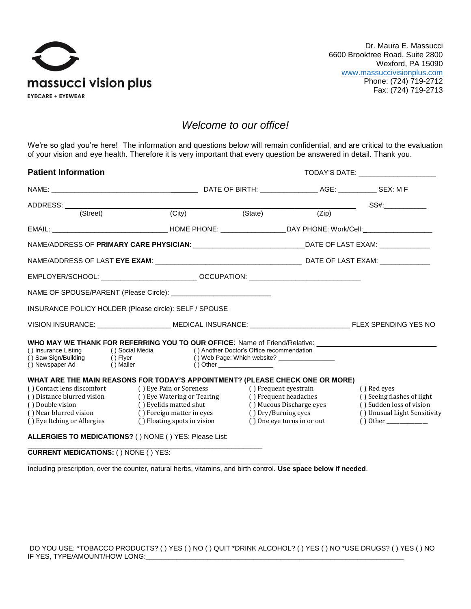

## *Welcome to our office!*

We're so glad you're here! The information and questions below will remain confidential, and are critical to the evaluation of your vision and eye health. Therefore it is very important that every question be answered in detail. Thank you.

| <b>Patient Information</b>                                                                                                                                                                                                                                                                                 |                                                                                                                  | TODAY'S DATE: _____________________ |                                                                                                        |                                                                                                       |  |
|------------------------------------------------------------------------------------------------------------------------------------------------------------------------------------------------------------------------------------------------------------------------------------------------------------|------------------------------------------------------------------------------------------------------------------|-------------------------------------|--------------------------------------------------------------------------------------------------------|-------------------------------------------------------------------------------------------------------|--|
|                                                                                                                                                                                                                                                                                                            |                                                                                                                  |                                     |                                                                                                        |                                                                                                       |  |
| ADDRESS: <u>(Street)</u> (City)                                                                                                                                                                                                                                                                            |                                                                                                                  |                                     |                                                                                                        | $\overline{\phantom{z}}$ $SS#$ : $\overline{\phantom{z}}$                                             |  |
|                                                                                                                                                                                                                                                                                                            |                                                                                                                  | (State)                             |                                                                                                        |                                                                                                       |  |
|                                                                                                                                                                                                                                                                                                            |                                                                                                                  |                                     |                                                                                                        |                                                                                                       |  |
| NAME/ADDRESS OF PRIMARY CARE PHYSICIAN: _________________________________DATE OF LAST EXAM: ______________                                                                                                                                                                                                 |                                                                                                                  |                                     |                                                                                                        |                                                                                                       |  |
|                                                                                                                                                                                                                                                                                                            |                                                                                                                  |                                     |                                                                                                        |                                                                                                       |  |
|                                                                                                                                                                                                                                                                                                            |                                                                                                                  |                                     |                                                                                                        |                                                                                                       |  |
| NAME OF SPOUSE/PARENT (Please Circle): _____________________________                                                                                                                                                                                                                                       |                                                                                                                  |                                     |                                                                                                        |                                                                                                       |  |
| INSURANCE POLICY HOLDER (Please circle): SELF / SPOUSE                                                                                                                                                                                                                                                     |                                                                                                                  |                                     |                                                                                                        |                                                                                                       |  |
| VISION INSURANCE: ______________________ MEDICAL INSURANCE: __________________________________ FLEX SPENDING YES NO                                                                                                                                                                                        |                                                                                                                  |                                     |                                                                                                        |                                                                                                       |  |
| WHO MAY WE THANK FOR REFERRING YOU TO OUR OFFICE: Name of Friend/Relative: __________________________________<br>() Insurance Listing () Social Media () Another Doctor's Office recommendation<br>() Saw Sign/Building () Flyer () Web Page: Which website? ________________<br>() Newspaper Ad () Mailer |                                                                                                                  | $()$ Other $\_$                     |                                                                                                        |                                                                                                       |  |
| WHAT ARE THE MAIN REASONS FOR TODAY'S APPOINTMENT? (PLEASE CHECK ONE OR MORE)<br>() Contact lens discomfort () Eye Pain or Soreness<br>() Distance blurred vision<br>() Double vision<br>() Near blurred vision<br>() Eye Itching or Allergies                                                             | () Eye Watering or Tearing<br>() Eyelids matted shut<br>() Foreign matter in eyes<br>() Floating spots in vision | () Frequent eyestrain               | () Frequent headaches<br>() Mucous Discharge eyes<br>() Dry/Burning eyes<br>() One eye turns in or out | () Red eyes<br>() Seeing flashes of light<br>() Sudden loss of vision<br>() Unusual Light Sensitivity |  |
| ALLERGIES TO MEDICATIONS? () NONE () YES: Please List:                                                                                                                                                                                                                                                     |                                                                                                                  |                                     |                                                                                                        |                                                                                                       |  |

\_\_\_\_\_\_\_\_\_\_\_\_\_\_\_\_\_\_\_\_\_\_\_\_\_\_\_\_\_\_\_\_\_\_\_\_\_\_\_\_\_\_\_\_\_\_\_\_\_\_\_\_\_\_\_\_\_\_\_\_\_ **CURRENT MEDICATIONS:** ( ) NONE ( ) YES:

Including prescription, over the counter, natural herbs, vitamins, and birth control. **Use space below if needed**.

 $\overline{\phantom{a}}$  , and the contribution of the contribution of the contribution of the contribution of the contribution of the contribution of the contribution of the contribution of the contribution of the contribution of the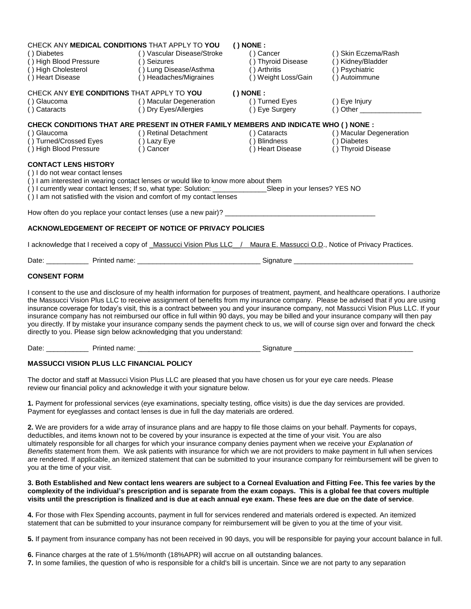| CHECK ANY MEDICAL CONDITIONS THAT APPLY TO YOU                                                                                                                                                                                                                                                                                                |                                     | $()$ NONE :                         |                     |  |  |  |
|-----------------------------------------------------------------------------------------------------------------------------------------------------------------------------------------------------------------------------------------------------------------------------------------------------------------------------------------------|-------------------------------------|-------------------------------------|---------------------|--|--|--|
| () Diabetes                                                                                                                                                                                                                                                                                                                                   | () Vascular Disease/Stroke          | $()$ Cancer                         | () Skin Eczema/Rash |  |  |  |
| () Diabetes () Vascular ()<br>() High Blood Pressure () Seizures                                                                                                                                                                                                                                                                              | ()Seizures<br>()Lung Disease/Asthma | () Thyroid Disease                  | () Kidney/Bladder   |  |  |  |
| () High Cholesterol                                                                                                                                                                                                                                                                                                                           |                                     | $( )$ Arthritis                     | () Psychiatric      |  |  |  |
| () Heart Disease                                                                                                                                                                                                                                                                                                                              | () Headaches/Migraines              | () Weight Loss/Gain                 | () Autoimmune       |  |  |  |
| CHECK ANY EYE CONDITIONS THAT APPLY TO YOU (INONE:                                                                                                                                                                                                                                                                                            |                                     |                                     |                     |  |  |  |
|                                                                                                                                                                                                                                                                                                                                               |                                     |                                     | ( ) Eye Injury      |  |  |  |
| () Glaucoma () Macular Degeneration () Turned Eyes<br>() Cataracts () Drv Eves/Allergies () Turned Eyes                                                                                                                                                                                                                                       |                                     | () Eye Surgery                      |                     |  |  |  |
| CHECK CONDITIONS THAT ARE PRESENT IN OTHER FAMILY MEMBERS AND INDICATE WHO ( ) NONE :                                                                                                                                                                                                                                                         |                                     |                                     |                     |  |  |  |
|                                                                                                                                                                                                                                                                                                                                               |                                     |                                     |                     |  |  |  |
| () Glaucoma () Retinal Detachment () Cataracts () Macular Degeneration () Turned/Crossed Eyes () Lazy Eye () Example () Blindness () Diabetes () Diabetes                                                                                                                                                                                     |                                     |                                     |                     |  |  |  |
| () High Blood Pressure () Cancer                                                                                                                                                                                                                                                                                                              |                                     | () Heart Disease () Thyroid Disease |                     |  |  |  |
| <b>CONTACT LENS HISTORY</b><br>() I do not wear contact lenses<br>() I am interested in wearing contact lenses or would like to know more about them<br>() I currently wear contact lenses; If so, what type: Solution: _______________Sleep in your lenses? YES NO<br>() I am not satisfied with the vision and comfort of my contact lenses |                                     |                                     |                     |  |  |  |
|                                                                                                                                                                                                                                                                                                                                               |                                     |                                     |                     |  |  |  |
| ACKNOWLEDGEMENT OF RECEIPT OF NOTICE OF PRIVACY POLICIES                                                                                                                                                                                                                                                                                      |                                     |                                     |                     |  |  |  |
| I acknowledge that I received a copy of Massucci Vision Plus LLC / Maura E. Massucci O.D., Notice of Privacy Practices.                                                                                                                                                                                                                       |                                     |                                     |                     |  |  |  |
|                                                                                                                                                                                                                                                                                                                                               |                                     |                                     |                     |  |  |  |
|                                                                                                                                                                                                                                                                                                                                               |                                     |                                     |                     |  |  |  |

## **CONSENT FORM**

I consent to the use and disclosure of my health information for purposes of treatment, payment, and healthcare operations. I authorize the Massucci Vision Plus LLC to receive assignment of benefits from my insurance company. Please be advised that if you are using insurance coverage for today's visit, this is a contract between you and your insurance company, not Massucci Vision Plus LLC. If your insurance company has not reimbursed our office in full within 90 days, you may be billed and your insurance company will then pay you directly. If by mistake your insurance company sends the payment check to us, we will of course sign over and forward the check directly to you. Please sign below acknowledging that you understand:

Date: \_\_\_\_\_\_\_\_\_\_\_ Printed name: \_\_\_\_\_\_\_\_\_\_\_\_\_\_\_\_\_\_\_\_\_\_\_\_\_\_\_\_\_\_\_\_ Signature \_\_\_\_\_\_\_\_\_\_\_\_\_\_\_\_\_\_\_\_\_\_\_\_\_\_\_\_\_\_\_

## **MASSUCCI VISION PLUS LLC FINANCIAL POLICY**

The doctor and staff at Massucci Vision Plus LLC are pleased that you have chosen us for your eye care needs. Please review our financial policy and acknowledge it with your signature below.

**1.** Payment for professional services (eye examinations, specialty testing, office visits) is due the day services are provided. Payment for eyeglasses and contact lenses is due in full the day materials are ordered.

**2.** We are providers for a wide array of insurance plans and are happy to file those claims on your behalf. Payments for copays, deductibles, and items known not to be covered by your insurance is expected at the time of your visit. You are also ultimately responsible for all charges for which your insurance company denies payment when we receive your *Explanation of Benefits* statement from them. We ask patients with insurance for which we are not providers to make payment in full when services are rendered. If applicable, an itemized statement that can be submitted to your insurance company for reimbursement will be given to you at the time of your visit.

**3. Both Established and New contact lens wearers are subject to a Corneal Evaluation and Fitting Fee. This fee varies by the complexity of the individual's prescription and is separate from the exam copays. This is a global fee that covers multiple visits until the prescription is finalized and is due at each annual eye exam. These fees are due on the date of service**.

**4.** For those with Flex Spending accounts, payment in full for services rendered and materials ordered is expected. An itemized statement that can be submitted to your insurance company for reimbursement will be given to you at the time of your visit.

**5.** If payment from insurance company has not been received in 90 days, you will be responsible for paying your account balance in full.

**6.** Finance charges at the rate of 1.5%/month (18%APR) will accrue on all outstanding balances.

**7.** In some families, the question of who is responsible for a child's bill is uncertain. Since we are not party to any separation